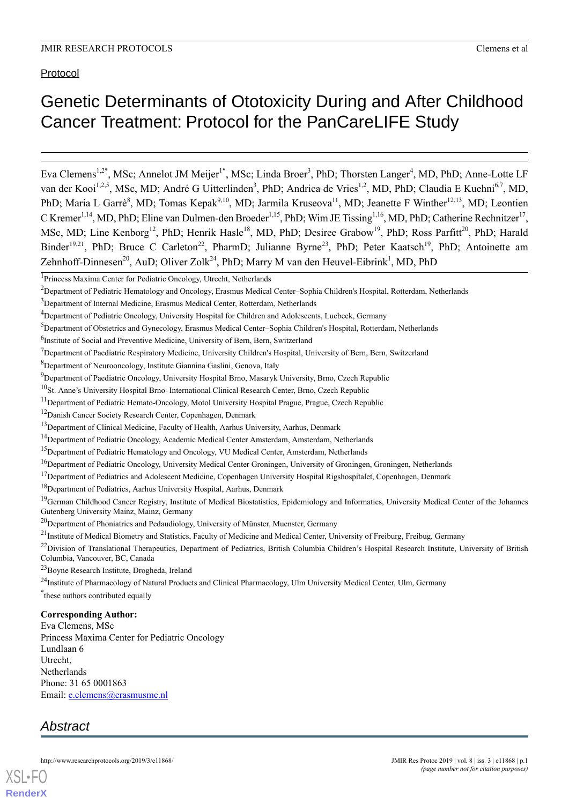## Protocol

# Genetic Determinants of Ototoxicity During and After Childhood Cancer Treatment: Protocol for the PanCareLIFE Study

Eva Clemens<sup>1,2\*</sup>, MSc; Annelot JM Meijer<sup>1\*</sup>, MSc; Linda Broer<sup>3</sup>, PhD; Thorsten Langer<sup>4</sup>, MD, PhD; Anne-Lotte LF van der Kooi<sup>1,2,5</sup>, MSc, MD; André G Uitterlinden<sup>3</sup>, PhD; Andrica de Vries<sup>1,2</sup>, MD, PhD; Claudia E Kuehni<sup>6,7</sup>, MD, PhD; Maria L Garrè<sup>8</sup>, MD; Tomas Kepak<sup>9,10</sup>, MD; Jarmila Kruseova<sup>11</sup>, MD; Jeanette F Winther<sup>12,13</sup>, MD; Leontien C Kremer<sup>1,14</sup>, MD, PhD; Eline van Dulmen-den Broeder<sup>1,15</sup>, PhD; Wim JE Tissing<sup>1,16</sup>, MD, PhD; Catherine Rechnitzer<sup>17</sup>, MSc, MD; Line Kenborg<sup>12</sup>, PhD; Henrik Hasle<sup>18</sup>, MD, PhD; Desiree Grabow<sup>19</sup>, PhD; Ross Parfitt<sup>20</sup>, PhD; Harald Binder<sup>19,21</sup>, PhD; Bruce C Carleton<sup>22</sup>, PharmD; Julianne Byrne<sup>23</sup>, PhD; Peter Kaatsch<sup>19</sup>, PhD; Antoinette am Zehnhoff-Dinnesen<sup>20</sup>, AuD; Oliver Zolk<sup>24</sup>, PhD; Marry M van den Heuvel-Eibrink<sup>1</sup>, MD, PhD

<sup>6</sup>Institute of Social and Preventive Medicine, University of Bern, Bern, Switzerland

<sup>8</sup>Department of Neurooncology, Institute Giannina Gaslini, Genova, Italy

<sup>10</sup>St. Anne's University Hospital Brno–International Clinical Research Center, Brno, Czech Republic

<sup>11</sup> Department of Pediatric Hemato-Oncology, Motol University Hospital Prague, Prague, Czech Republic

<sup>12</sup>Danish Cancer Society Research Center, Copenhagen, Denmark

<sup>15</sup>Department of Pediatric Hematology and Oncology, VU Medical Center, Amsterdam, Netherlands

- $17$ Department of Pediatrics and Adolescent Medicine, Copenhagen University Hospital Rigshospitalet, Copenhagen, Denmark
- <sup>18</sup>Department of Pediatrics, Aarhus University Hospital, Aarhus, Denmark

<sup>19</sup>German Childhood Cancer Registry, Institute of Medical Biostatistics, Epidemiology and Informatics, University Medical Center of the Johannes Gutenberg University Mainz, Mainz, Germany

- $20$ Department of Phoniatrics and Pedaudiology, University of Münster, Muenster, Germany
- $^{21}$ Institute of Medical Biometry and Statistics, Faculty of Medicine and Medical Center, University of Freiburg, Freibug, Germany

<sup>23</sup>Boyne Research Institute, Drogheda, Ireland

\* these authors contributed equally

#### **Corresponding Author:**

Eva Clemens, MSc Princess Maxima Center for Pediatric Oncology Lundlaan 6 Utrecht, Netherlands Phone: 31 65 0001863 Email: [e.clemens@erasmusmc.nl](mailto:e.clemens@erasmusmc.nl)

## *Abstract*



<sup>&</sup>lt;sup>1</sup>Princess Maxima Center for Pediatric Oncology, Utrecht, Netherlands

<sup>&</sup>lt;sup>2</sup>Department of Pediatric Hematology and Oncology, Erasmus Medical Center–Sophia Children's Hospital, Rotterdam, Netherlands

<sup>3</sup>Department of Internal Medicine, Erasmus Medical Center, Rotterdam, Netherlands

<sup>&</sup>lt;sup>4</sup>Department of Pediatric Oncology, University Hospital for Children and Adolescents, Luebeck, Germany

<sup>5</sup>Department of Obstetrics and Gynecology, Erasmus Medical Center–Sophia Children's Hospital, Rotterdam, Netherlands

 $<sup>7</sup>$ Department of Paediatric Respiratory Medicine, University Children's Hospital, University of Bern, Bern, Switzerland</sup>

<sup>9</sup>Department of Paediatric Oncology, University Hospital Brno, Masaryk University, Brno, Czech Republic

<sup>&</sup>lt;sup>13</sup>Department of Clinical Medicine, Faculty of Health, Aarhus University, Aarhus, Denmark

<sup>&</sup>lt;sup>14</sup>Department of Pediatric Oncology, Academic Medical Center Amsterdam, Amsterdam, Netherlands

<sup>&</sup>lt;sup>16</sup>Department of Pediatric Oncology, University Medical Center Groningen, University of Groningen, Groningen, Netherlands

<sup>&</sup>lt;sup>22</sup>Division of Translational Therapeutics, Department of Pediatrics, British Columbia Children's Hospital Research Institute, University of British Columbia, Vancouver, BC, Canada

 $^{24}$ Institute of Pharmacology of Natural Products and Clinical Pharmacology, Ulm University Medical Center, Ulm, Germany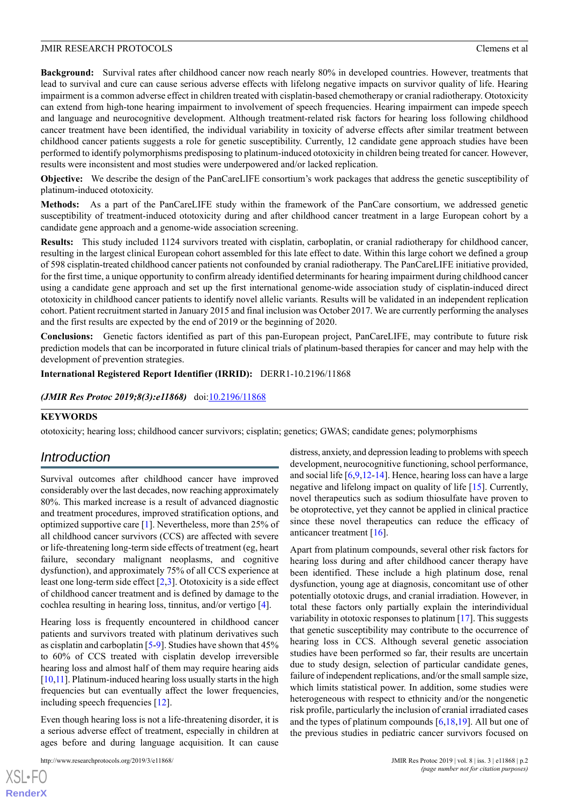**Background:** Survival rates after childhood cancer now reach nearly 80% in developed countries. However, treatments that lead to survival and cure can cause serious adverse effects with lifelong negative impacts on survivor quality of life. Hearing impairment is a common adverse effect in children treated with cisplatin-based chemotherapy or cranial radiotherapy. Ototoxicity can extend from high-tone hearing impairment to involvement of speech frequencies. Hearing impairment can impede speech and language and neurocognitive development. Although treatment-related risk factors for hearing loss following childhood cancer treatment have been identified, the individual variability in toxicity of adverse effects after similar treatment between childhood cancer patients suggests a role for genetic susceptibility. Currently, 12 candidate gene approach studies have been performed to identify polymorphisms predisposing to platinum-induced ototoxicity in children being treated for cancer. However, results were inconsistent and most studies were underpowered and/or lacked replication.

**Objective:** We describe the design of the PanCareLIFE consortium's work packages that address the genetic susceptibility of platinum-induced ototoxicity.

**Methods:** As a part of the PanCareLIFE study within the framework of the PanCare consortium, we addressed genetic susceptibility of treatment-induced ototoxicity during and after childhood cancer treatment in a large European cohort by a candidate gene approach and a genome-wide association screening.

**Results:** This study included 1124 survivors treated with cisplatin, carboplatin, or cranial radiotherapy for childhood cancer, resulting in the largest clinical European cohort assembled for this late effect to date. Within this large cohort we defined a group of 598 cisplatin-treated childhood cancer patients not confounded by cranial radiotherapy. The PanCareLIFE initiative provided, for the first time, a unique opportunity to confirm already identified determinants for hearing impairment during childhood cancer using a candidate gene approach and set up the first international genome-wide association study of cisplatin-induced direct ototoxicity in childhood cancer patients to identify novel allelic variants. Results will be validated in an independent replication cohort. Patient recruitment started in January 2015 and final inclusion was October 2017. We are currently performing the analyses and the first results are expected by the end of 2019 or the beginning of 2020.

**Conclusions:** Genetic factors identified as part of this pan-European project, PanCareLIFE, may contribute to future risk prediction models that can be incorporated in future clinical trials of platinum-based therapies for cancer and may help with the development of prevention strategies.

**International Registered Report Identifier (IRRID):** DERR1-10.2196/11868

#### *(JMIR Res Protoc 2019;8(3):e11868)* doi: $10.2196/11868$

#### **KEYWORDS**

ototoxicity; hearing loss; childhood cancer survivors; cisplatin; genetics; GWAS; candidate genes; polymorphisms

## *Introduction*

Survival outcomes after childhood cancer have improved considerably over the last decades, now reaching approximately 80%. This marked increase is a result of advanced diagnostic and treatment procedures, improved stratification options, and optimized supportive care [\[1](#page-7-0)]. Nevertheless, more than 25% of all childhood cancer survivors (CCS) are affected with severe or life-threatening long-term side effects of treatment (eg, heart failure, secondary malignant neoplasms, and cognitive dysfunction), and approximately 75% of all CCS experience at least one long-term side effect [\[2](#page-7-1),[3\]](#page-7-2). Ototoxicity is a side effect of childhood cancer treatment and is defined by damage to the cochlea resulting in hearing loss, tinnitus, and/or vertigo [\[4](#page-7-3)].

Hearing loss is frequently encountered in childhood cancer patients and survivors treated with platinum derivatives such as cisplatin and carboplatin [\[5](#page-7-4)[-9](#page-7-5)]. Studies have shown that 45% to 60% of CCS treated with cisplatin develop irreversible hearing loss and almost half of them may require hearing aids [[10,](#page-7-6)[11\]](#page-7-7). Platinum-induced hearing loss usually starts in the high frequencies but can eventually affect the lower frequencies, including speech frequencies [\[12](#page-7-8)].

Even though hearing loss is not a life-threatening disorder, it is a serious adverse effect of treatment, especially in children at ages before and during language acquisition. It can cause

distress, anxiety, and depression leading to problems with speech development, neurocognitive functioning, school performance, and social life [\[6](#page-7-9),[9](#page-7-5)[,12](#page-7-8)[-14](#page-7-10)]. Hence, hearing loss can have a large negative and lifelong impact on quality of life [\[15](#page-7-11)]. Currently, novel therapeutics such as sodium thiosulfate have proven to be otoprotective, yet they cannot be applied in clinical practice since these novel therapeutics can reduce the efficacy of anticancer treatment [[16\]](#page-7-12).

Apart from platinum compounds, several other risk factors for hearing loss during and after childhood cancer therapy have been identified. These include a high platinum dose, renal dysfunction, young age at diagnosis, concomitant use of other potentially ototoxic drugs, and cranial irradiation. However, in total these factors only partially explain the interindividual variability in ototoxic responses to platinum [[17\]](#page-7-13). This suggests that genetic susceptibility may contribute to the occurrence of hearing loss in CCS. Although several genetic association studies have been performed so far, their results are uncertain due to study design, selection of particular candidate genes, failure of independent replications, and/or the small sample size, which limits statistical power. In addition, some studies were heterogeneous with respect to ethnicity and/or the nongenetic risk profile, particularly the inclusion of cranial irradiated cases and the types of platinum compounds  $[6,18,19]$  $[6,18,19]$  $[6,18,19]$  $[6,18,19]$ . All but one of the previous studies in pediatric cancer survivors focused on

 $XS$ -FO **[RenderX](http://www.renderx.com/)**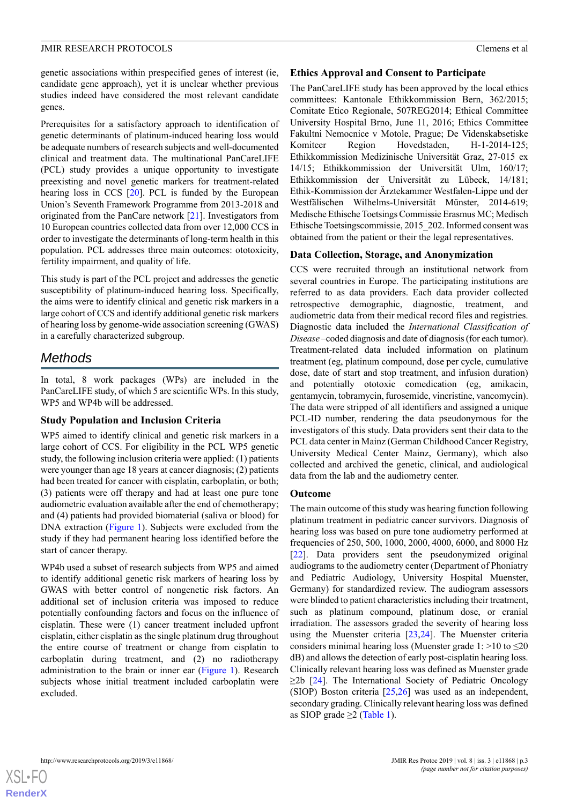genetic associations within prespecified genes of interest (ie, candidate gene approach), yet it is unclear whether previous studies indeed have considered the most relevant candidate genes.

Prerequisites for a satisfactory approach to identification of genetic determinants of platinum-induced hearing loss would be adequate numbers of research subjects and well-documented clinical and treatment data. The multinational PanCareLIFE (PCL) study provides a unique opportunity to investigate preexisting and novel genetic markers for treatment-related hearing loss in CCS [[20\]](#page-7-16). PCL is funded by the European Union's Seventh Framework Programme from 2013-2018 and originated from the PanCare network [[21\]](#page-8-0). Investigators from 10 European countries collected data from over 12,000 CCS in order to investigate the determinants of long-term health in this population. PCL addresses three main outcomes: ototoxicity, fertility impairment, and quality of life.

This study is part of the PCL project and addresses the genetic susceptibility of platinum-induced hearing loss. Specifically, the aims were to identify clinical and genetic risk markers in a large cohort of CCS and identify additional genetic risk markers of hearing loss by genome-wide association screening (GWAS) in a carefully characterized subgroup.

## *Methods*

In total, 8 work packages (WPs) are included in the PanCareLIFE study, of which 5 are scientific WPs. In this study, WP5 and WP4b will be addressed.

### **Study Population and Inclusion Criteria**

WP5 aimed to identify clinical and genetic risk markers in a large cohort of CCS. For eligibility in the PCL WP5 genetic study, the following inclusion criteria were applied: (1) patients were younger than age 18 years at cancer diagnosis; (2) patients had been treated for cancer with cisplatin, carboplatin, or both; (3) patients were off therapy and had at least one pure tone audiometric evaluation available after the end of chemotherapy; and (4) patients had provided biomaterial (saliva or blood) for DNA extraction [\(Figure 1](#page-3-0)). Subjects were excluded from the study if they had permanent hearing loss identified before the start of cancer therapy.

WP4b used a subset of research subjects from WP5 and aimed to identify additional genetic risk markers of hearing loss by GWAS with better control of nongenetic risk factors. An additional set of inclusion criteria was imposed to reduce potentially confounding factors and focus on the influence of cisplatin. These were (1) cancer treatment included upfront cisplatin, either cisplatin as the single platinum drug throughout the entire course of treatment or change from cisplatin to carboplatin during treatment, and (2) no radiotherapy administration to the brain or inner ear ([Figure 1\)](#page-3-0). Research subjects whose initial treatment included carboplatin were excluded.

### **Ethics Approval and Consent to Participate**

The PanCareLIFE study has been approved by the local ethics committees: Kantonale Ethikkommission Bern, 362/2015; Comitate Etico Regionale, 507REG2014; Ethical Committee University Hospital Brno, June 11, 2016; Ethics Committee Fakultni Nemocnice v Motole, Prague; De Videnskabsetiske Komiteer Region Hovedstaden, H-1-2014-125; Ethikkommission Medizinische Universität Graz, 27-015 ex 14/15; Ethikkommission der Universität Ulm, 160/17; Ethikkommission der Universität zu Lübeck, 14/181; Ethik-Kommission der Ärztekammer Westfalen-Lippe und der Westfälischen Wilhelms-Universität Münster, 2014-619; Medische Ethische Toetsings Commissie Erasmus MC; Medisch Ethische Toetsingscommissie, 2015\_202. Informed consent was obtained from the patient or their the legal representatives.

### **Data Collection, Storage, and Anonymization**

CCS were recruited through an institutional network from several countries in Europe. The participating institutions are referred to as data providers. Each data provider collected retrospective demographic, diagnostic, treatment, and audiometric data from their medical record files and registries. Diagnostic data included the *International Classification of Disease* –coded diagnosis and date of diagnosis (for each tumor). Treatment-related data included information on platinum treatment (eg, platinum compound, dose per cycle, cumulative dose, date of start and stop treatment, and infusion duration) and potentially ototoxic comedication (eg, amikacin, gentamycin, tobramycin, furosemide, vincristine, vancomycin). The data were stripped of all identifiers and assigned a unique PCL-ID number, rendering the data pseudonymous for the investigators of this study. Data providers sent their data to the PCL data center in Mainz (German Childhood Cancer Registry, University Medical Center Mainz, Germany), which also collected and archived the genetic, clinical, and audiological data from the lab and the audiometry center.

### **Outcome**

The main outcome of this study was hearing function following platinum treatment in pediatric cancer survivors. Diagnosis of hearing loss was based on pure tone audiometry performed at frequencies of 250, 500, 1000, 2000, 4000, 6000, and 8000 Hz [[22\]](#page-8-1). Data providers sent the pseudonymized original audiograms to the audiometry center (Department of Phoniatry and Pediatric Audiology, University Hospital Muenster, Germany) for standardized review. The audiogram assessors were blinded to patient characteristics including their treatment, such as platinum compound, platinum dose, or cranial irradiation. The assessors graded the severity of hearing loss using the Muenster criteria [\[23](#page-8-2),[24\]](#page-8-3). The Muenster criteria considers minimal hearing loss (Muenster grade  $1: >10$  to  $\leq 20$ dB) and allows the detection of early post-cisplatin hearing loss. Clinically relevant hearing loss was defined as Muenster grade  $\geq$ 2b [\[24](#page-8-3)]. The International Society of Pediatric Oncology (SIOP) Boston criteria [[25](#page-8-4)[,26](#page-8-5)] was used as an independent, secondary grading. Clinically relevant hearing loss was defined as SIOP grade  $\geq$ 2 ([Table 1](#page-3-1)).

 $XS$  • FC **[RenderX](http://www.renderx.com/)**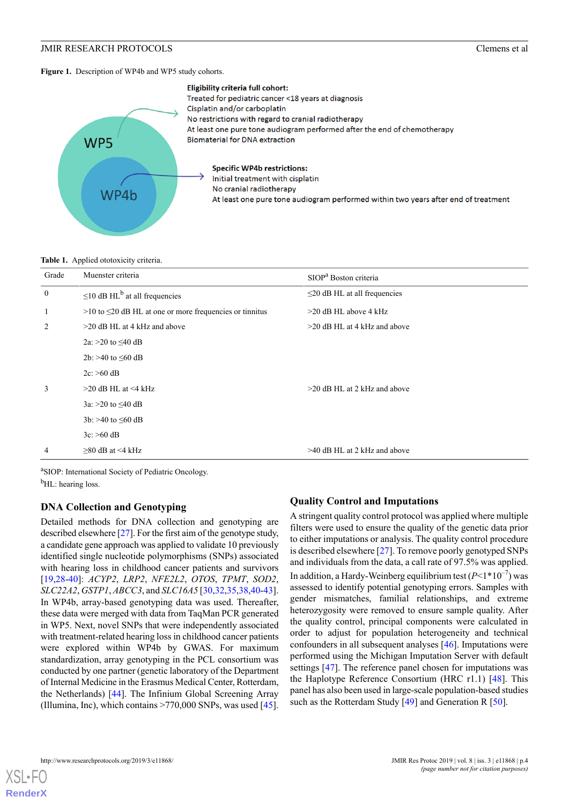<span id="page-3-0"></span>Figure 1. Description of WP4b and WP5 study cohorts.



#### <span id="page-3-1"></span>**Table 1.** Applied ototoxicity criteria.

| Grade            | Muenster criteria                                               | SIOP <sup>a</sup> Boston criteria  |
|------------------|-----------------------------------------------------------------|------------------------------------|
| $\boldsymbol{0}$ | $\leq$ 10 dB HL <sup>b</sup> at all frequencies                 | $\leq$ 20 dB HL at all frequencies |
| 1                | $>10$ to $\leq$ 20 dB HL at one or more frequencies or tinnitus | $>20$ dB HL above 4 kHz            |
| 2                | $>$ 20 dB HL at 4 kHz and above                                 | $>20$ dB HL at 4 kHz and above     |
|                  | 2a: >20 to $\leq 40$ dB                                         |                                    |
|                  | 2b: >40 to $\leq 60$ dB                                         |                                    |
|                  | $2c$ : >60 dB                                                   |                                    |
| 3                | $>20$ dB HL at $<$ 4 kHz                                        | $>20$ dB HL at 2 kHz and above     |
|                  | $3a: >20$ to $\leq 40$ dB                                       |                                    |
|                  | $3b$ : >40 to $\leq 60$ dB                                      |                                    |
|                  | $3c$ : >60 dB                                                   |                                    |
| $\overline{4}$   | $>80$ dB at $<$ 4 kHz                                           | $>40$ dB HL at 2 kHz and above     |
|                  |                                                                 |                                    |

a<sub>SIOP</sub>: International Society of Pediatric Oncology.

 $<sup>b</sup>$ HL: hearing loss.</sup>

## **DNA Collection and Genotyping**

Detailed methods for DNA collection and genotyping are described elsewhere [\[27\]](#page-8-6). For the first aim of the genotype study, a candidate gene approach was applied to validate 10 previously identified single nucleotide polymorphisms (SNPs) associated with hearing loss in childhood cancer patients and survivors [[19](#page-7-15)[,28](#page-8-7)-[40\]](#page-9-0): *ACYP2*, *LRP2*, *NFE2L2*, *OTOS*, *TPMT*, *SOD2*, *SLC22A2*, *GSTP1*, *ABCC3*, and *SLC16A5* [\[30](#page-8-8),[32,](#page-8-9)[35,](#page-8-10)[38](#page-8-11)[,40](#page-9-0)-[43\]](#page-9-1). In WP4b, array-based genotyping data was used. Thereafter, these data were merged with data from TaqMan PCR generated in WP5. Next, novel SNPs that were independently associated with treatment-related hearing loss in childhood cancer patients were explored within WP4b by GWAS. For maximum standardization, array genotyping in the PCL consortium was conducted by one partner (genetic laboratory of the Department of Internal Medicine in the Erasmus Medical Center, Rotterdam, the Netherlands) [[44\]](#page-9-2). The Infinium Global Screening Array (Illumina, Inc), which contains  $>770,000$  SNPs, was used [[45\]](#page-9-3).

## **Quality Control and Imputations**

A stringent quality control protocol was applied where multiple filters were used to ensure the quality of the genetic data prior to either imputations or analysis. The quality control procedure is described elsewhere [\[27](#page-8-6)]. To remove poorly genotyped SNPs and individuals from the data, a call rate of 97.5% was applied. In addition, a Hardy-Weinberg equilibrium test  $(P<1*10^{-7})$  was assessed to identify potential genotyping errors. Samples with gender mismatches, familial relationships, and extreme heterozygosity were removed to ensure sample quality. After the quality control, principal components were calculated in order to adjust for population heterogeneity and technical confounders in all subsequent analyses [[46\]](#page-9-4). Imputations were performed using the Michigan Imputation Server with default settings [\[47](#page-9-5)]. The reference panel chosen for imputations was the Haplotype Reference Consortium (HRC r1.1) [\[48](#page-9-6)]. This panel has also been used in large-scale population-based studies such as the Rotterdam Study [[49\]](#page-9-7) and Generation R [[50\]](#page-9-8).

[XSL](http://www.w3.org/Style/XSL)•FO **[RenderX](http://www.renderx.com/)**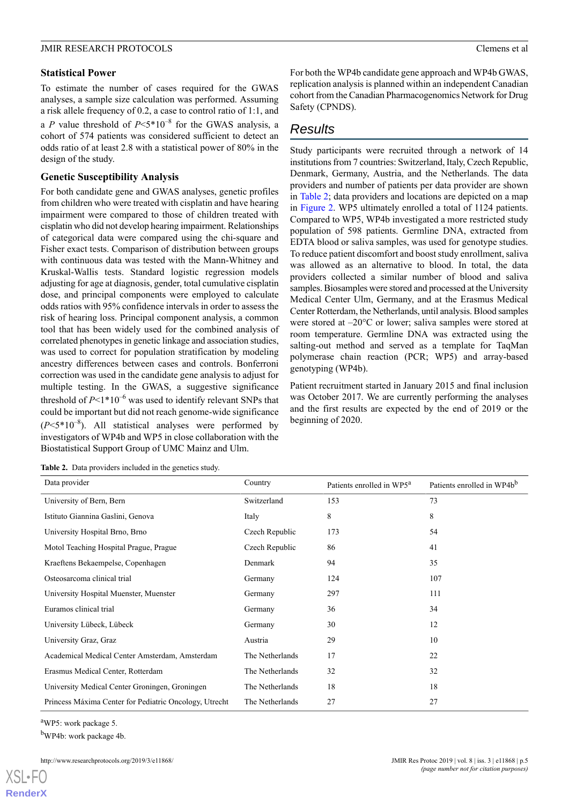#### **Statistical Power**

To estimate the number of cases required for the GWAS analyses, a sample size calculation was performed. Assuming a risk allele frequency of 0.2, a case to control ratio of 1:1, and a *P* value threshold of  $P \le 5*10^{-8}$  for the GWAS analysis, a cohort of 574 patients was considered sufficient to detect an odds ratio of at least 2.8 with a statistical power of 80% in the design of the study.

## **Genetic Susceptibility Analysis**

For both candidate gene and GWAS analyses, genetic profiles from children who were treated with cisplatin and have hearing impairment were compared to those of children treated with cisplatin who did not develop hearing impairment. Relationships of categorical data were compared using the chi-square and Fisher exact tests. Comparison of distribution between groups with continuous data was tested with the Mann-Whitney and Kruskal-Wallis tests. Standard logistic regression models adjusting for age at diagnosis, gender, total cumulative cisplatin dose, and principal components were employed to calculate odds ratios with 95% confidence intervals in order to assess the risk of hearing loss. Principal component analysis, a common tool that has been widely used for the combined analysis of correlated phenotypes in genetic linkage and association studies, was used to correct for population stratification by modeling ancestry differences between cases and controls. Bonferroni correction was used in the candidate gene analysis to adjust for multiple testing. In the GWAS, a suggestive significance threshold of  $P<1*10^{-6}$  was used to identify relevant SNPs that could be important but did not reach genome-wide significance  $(P<5*10^{-8})$ . All statistical analyses were performed by investigators of WP4b and WP5 in close collaboration with the Biostatistical Support Group of UMC Mainz and Ulm.

<span id="page-4-0"></span>

|  | <b>Table 2.</b> Data providers included in the genetics study. |  |  |
|--|----------------------------------------------------------------|--|--|
|  |                                                                |  |  |

For both the WP4b candidate gene approach and WP4b GWAS, replication analysis is planned within an independent Canadian cohort from the Canadian Pharmacogenomics Network for Drug Safety (CPNDS).

## *Results*

Study participants were recruited through a network of 14 institutions from 7 countries: Switzerland, Italy, Czech Republic, Denmark, Germany, Austria, and the Netherlands. The data providers and number of patients per data provider are shown in [Table 2;](#page-4-0) data providers and locations are depicted on a map in [Figure 2.](#page-5-0) WP5 ultimately enrolled a total of 1124 patients. Compared to WP5, WP4b investigated a more restricted study population of 598 patients. Germline DNA, extracted from EDTA blood or saliva samples, was used for genotype studies. To reduce patient discomfort and boost study enrollment, saliva was allowed as an alternative to blood. In total, the data providers collected a similar number of blood and saliva samples. Biosamples were stored and processed at the University Medical Center Ulm, Germany, and at the Erasmus Medical Center Rotterdam, the Netherlands, until analysis. Blood samples were stored at –20°C or lower; saliva samples were stored at room temperature. Germline DNA was extracted using the salting-out method and served as a template for TaqMan polymerase chain reaction (PCR; WP5) and array-based genotyping (WP4b).

Patient recruitment started in January 2015 and final inclusion was October 2017. We are currently performing the analyses and the first results are expected by the end of 2019 or the beginning of 2020.

| Data provider                                          | Country         | Patients enrolled in WP5 <sup>a</sup> | Patients enrolled in WP4b <sup>b</sup> |
|--------------------------------------------------------|-----------------|---------------------------------------|----------------------------------------|
| University of Bern, Bern                               | Switzerland     | 153                                   | 73                                     |
| Istituto Giannina Gaslini, Genova                      | Italy           | 8                                     | 8                                      |
| University Hospital Brno, Brno                         | Czech Republic  | 173                                   | 54                                     |
| Motol Teaching Hospital Prague, Prague                 | Czech Republic  | 86                                    | 41                                     |
| Kraeftens Bekaempelse, Copenhagen                      | Denmark         | 94                                    | 35                                     |
| Osteosarcoma clinical trial                            | Germany         | 124                                   | 107                                    |
| University Hospital Muenster, Muenster                 | Germany         | 297                                   | 111                                    |
| Euramos clinical trial                                 | Germany         | 36                                    | 34                                     |
| University Lübeck, Lübeck                              | Germany         | 30                                    | 12                                     |
| University Graz, Graz                                  | Austria         | 29                                    | 10                                     |
| Academical Medical Center Amsterdam, Amsterdam         | The Netherlands | 17                                    | 22                                     |
| Erasmus Medical Center, Rotterdam                      | The Netherlands | 32                                    | 32                                     |
| University Medical Center Groningen, Groningen         | The Netherlands | 18                                    | 18                                     |
| Princess Máxima Center for Pediatric Oncology, Utrecht | The Netherlands | 27                                    | 27                                     |

<sup>a</sup>WP5: work package 5.

[XSL](http://www.w3.org/Style/XSL)•FO **[RenderX](http://www.renderx.com/)**

<sup>b</sup>WP4b: work package 4b.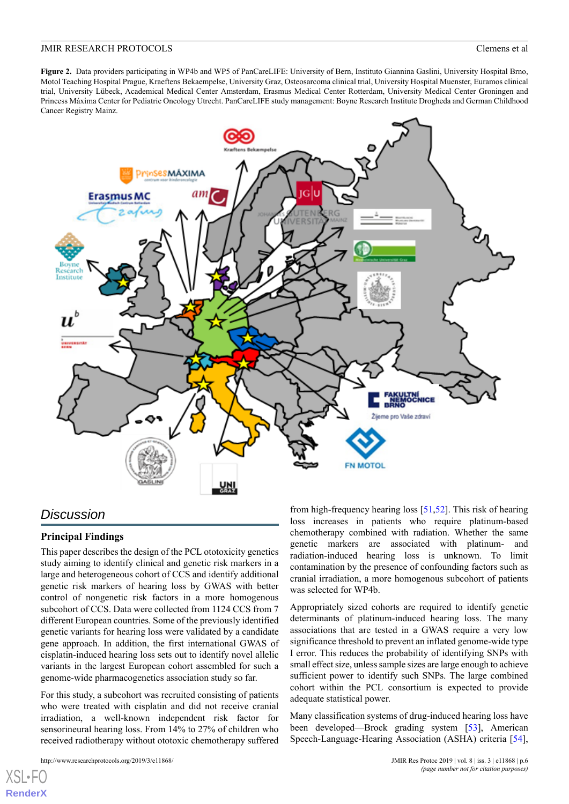<span id="page-5-0"></span>**Figure 2.** Data providers participating in WP4b and WP5 of PanCareLIFE: University of Bern, Instituto Giannina Gaslini, University Hospital Brno, Motol Teaching Hospital Prague, Kraeftens Bekaempelse, University Graz, Osteosarcoma clinical trial, University Hospital Muenster, Euramos clinical trial, University Lübeck, Academical Medical Center Amsterdam, Erasmus Medical Center Rotterdam, University Medical Center Groningen and Princess Máxima Center for Pediatric Oncology Utrecht. PanCareLIFE study management: Boyne Research Institute Drogheda and German Childhood Cancer Registry Mainz.



## *Discussion*

### **Principal Findings**

This paper describes the design of the PCL ototoxicity genetics study aiming to identify clinical and genetic risk markers in a large and heterogeneous cohort of CCS and identify additional genetic risk markers of hearing loss by GWAS with better control of nongenetic risk factors in a more homogenous subcohort of CCS. Data were collected from 1124 CCS from 7 different European countries. Some of the previously identified genetic variants for hearing loss were validated by a candidate gene approach. In addition, the first international GWAS of cisplatin-induced hearing loss sets out to identify novel allelic variants in the largest European cohort assembled for such a genome-wide pharmacogenetics association study so far.

For this study, a subcohort was recruited consisting of patients who were treated with cisplatin and did not receive cranial irradiation, a well-known independent risk factor for sensorineural hearing loss. From 14% to 27% of children who received radiotherapy without ototoxic chemotherapy suffered

http://www.researchprotocols.org/2019/3/e11868/  $p.6$  JMIR Res Protoc 2019 | vol. 8 | iss. 3 | e11868 | p.6

 $X$ SL•F **[RenderX](http://www.renderx.com/)** from high-frequency hearing loss [\[51](#page-9-9),[52\]](#page-9-10). This risk of hearing loss increases in patients who require platinum-based chemotherapy combined with radiation. Whether the same genetic markers are associated with platinum- and radiation-induced hearing loss is unknown. To limit contamination by the presence of confounding factors such as cranial irradiation, a more homogenous subcohort of patients was selected for WP4b.

Appropriately sized cohorts are required to identify genetic determinants of platinum-induced hearing loss. The many associations that are tested in a GWAS require a very low significance threshold to prevent an inflated genome-wide type I error. This reduces the probability of identifying SNPs with small effect size, unless sample sizes are large enough to achieve sufficient power to identify such SNPs. The large combined cohort within the PCL consortium is expected to provide adequate statistical power.

Many classification systems of drug-induced hearing loss have been developed—Brock grading system [[53\]](#page-9-11), American Speech-Language-Hearing Association (ASHA) criteria [[54\]](#page-9-12),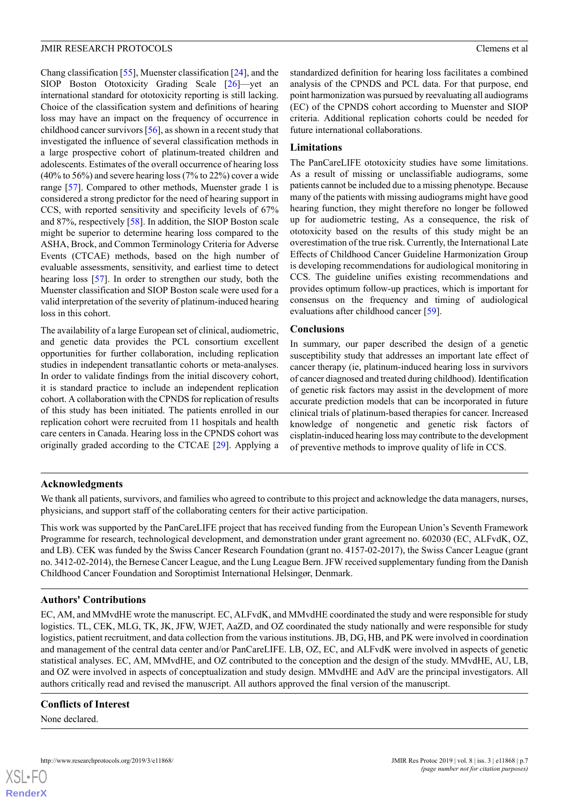Chang classification [[55\]](#page-9-13), Muenster classification [[24\]](#page-8-3), and the SIOP Boston Ototoxicity Grading Scale [\[26](#page-8-5)]—yet an international standard for ototoxicity reporting is still lacking. Choice of the classification system and definitions of hearing loss may have an impact on the frequency of occurrence in childhood cancer survivors [[56\]](#page-9-14), as shown in a recent study that investigated the influence of several classification methods in a large prospective cohort of platinum-treated children and adolescents. Estimates of the overall occurrence of hearing loss (40% to 56%) and severe hearing loss (7% to 22%) cover a wide range [\[57](#page-9-15)]. Compared to other methods, Muenster grade 1 is considered a strong predictor for the need of hearing support in CCS, with reported sensitivity and specificity levels of 67% and 87%, respectively [\[58](#page-9-16)]. In addition, the SIOP Boston scale might be superior to determine hearing loss compared to the ASHA, Brock, and Common Terminology Criteria for Adverse Events (CTCAE) methods, based on the high number of evaluable assessments, sensitivity, and earliest time to detect hearing loss [\[57](#page-9-15)]. In order to strengthen our study, both the Muenster classification and SIOP Boston scale were used for a valid interpretation of the severity of platinum-induced hearing loss in this cohort.

The availability of a large European set of clinical, audiometric, and genetic data provides the PCL consortium excellent opportunities for further collaboration, including replication studies in independent transatlantic cohorts or meta-analyses. In order to validate findings from the initial discovery cohort, it is standard practice to include an independent replication cohort. A collaboration with the CPNDS for replication of results of this study has been initiated. The patients enrolled in our replication cohort were recruited from 11 hospitals and health care centers in Canada. Hearing loss in the CPNDS cohort was originally graded according to the CTCAE [\[29](#page-8-12)]. Applying a

standardized definition for hearing loss facilitates a combined analysis of the CPNDS and PCL data. For that purpose, end point harmonization was pursued by reevaluating all audiograms (EC) of the CPNDS cohort according to Muenster and SIOP criteria. Additional replication cohorts could be needed for future international collaborations.

### **Limitations**

The PanCareLIFE ototoxicity studies have some limitations. As a result of missing or unclassifiable audiograms, some patients cannot be included due to a missing phenotype. Because many of the patients with missing audiograms might have good hearing function, they might therefore no longer be followed up for audiometric testing, As a consequence, the risk of ototoxicity based on the results of this study might be an overestimation of the true risk. Currently, the International Late Effects of Childhood Cancer Guideline Harmonization Group is developing recommendations for audiological monitoring in CCS. The guideline unifies existing recommendations and provides optimum follow-up practices, which is important for consensus on the frequency and timing of audiological evaluations after childhood cancer [[59\]](#page-9-17).

#### **Conclusions**

In summary, our paper described the design of a genetic susceptibility study that addresses an important late effect of cancer therapy (ie, platinum-induced hearing loss in survivors of cancer diagnosed and treated during childhood). Identification of genetic risk factors may assist in the development of more accurate prediction models that can be incorporated in future clinical trials of platinum-based therapies for cancer. Increased knowledge of nongenetic and genetic risk factors of cisplatin-induced hearing loss may contribute to the development of preventive methods to improve quality of life in CCS.

### **Acknowledgments**

We thank all patients, survivors, and families who agreed to contribute to this project and acknowledge the data managers, nurses, physicians, and support staff of the collaborating centers for their active participation.

This work was supported by the PanCareLIFE project that has received funding from the European Union's Seventh Framework Programme for research, technological development, and demonstration under grant agreement no. 602030 (EC, ALFvdK, OZ, and LB). CEK was funded by the Swiss Cancer Research Foundation (grant no. 4157-02-2017), the Swiss Cancer League (grant no. 3412-02-2014), the Bernese Cancer League, and the Lung League Bern. JFW received supplementary funding from the Danish Childhood Cancer Foundation and Soroptimist International Helsingør, Denmark.

## **Authors' Contributions**

EC, AM, and MMvdHE wrote the manuscript. EC, ALFvdK, and MMvdHE coordinated the study and were responsible for study logistics. TL, CEK, MLG, TK, JK, JFW, WJET, AaZD, and OZ coordinated the study nationally and were responsible for study logistics, patient recruitment, and data collection from the various institutions. JB, DG, HB, and PK were involved in coordination and management of the central data center and/or PanCareLIFE. LB, OZ, EC, and ALFvdK were involved in aspects of genetic statistical analyses. EC, AM, MMvdHE, and OZ contributed to the conception and the design of the study. MMvdHE, AU, LB, and OZ were involved in aspects of conceptualization and study design. MMvdHE and AdV are the principal investigators. All authors critically read and revised the manuscript. All authors approved the final version of the manuscript.

### **Conflicts of Interest**

None declared.

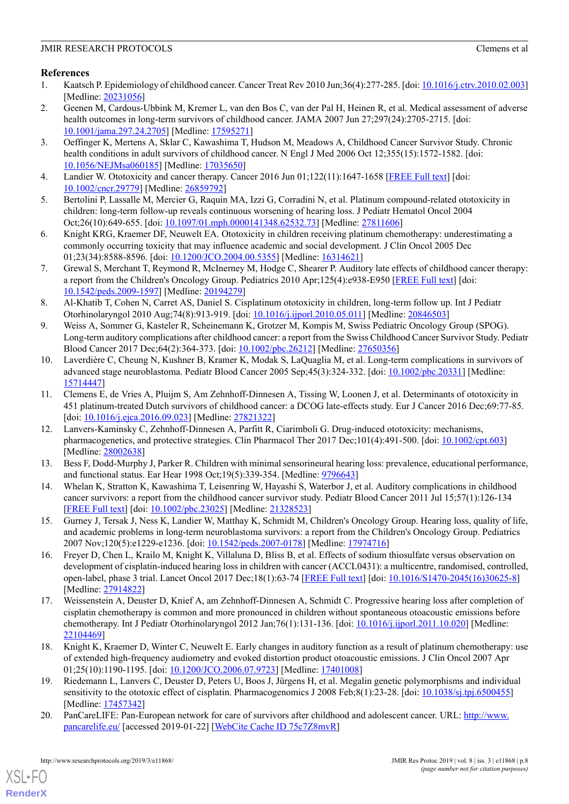## <span id="page-7-0"></span>**References**

- 1. Kaatsch P. Epidemiology of childhood cancer. Cancer Treat Rev 2010 Jun;36(4):277-285. [doi: [10.1016/j.ctrv.2010.02.003](http://dx.doi.org/10.1016/j.ctrv.2010.02.003)] [Medline: [20231056](http://www.ncbi.nlm.nih.gov/entrez/query.fcgi?cmd=Retrieve&db=PubMed&list_uids=20231056&dopt=Abstract)]
- <span id="page-7-1"></span>2. Geenen M, Cardous-Ubbink M, Kremer L, van den Bos C, van der Pal H, Heinen R, et al. Medical assessment of adverse health outcomes in long-term survivors of childhood cancer. JAMA 2007 Jun 27;297(24):2705-2715. [doi: [10.1001/jama.297.24.2705\]](http://dx.doi.org/10.1001/jama.297.24.2705) [Medline: [17595271](http://www.ncbi.nlm.nih.gov/entrez/query.fcgi?cmd=Retrieve&db=PubMed&list_uids=17595271&dopt=Abstract)]
- <span id="page-7-2"></span>3. Oeffinger K, Mertens A, Sklar C, Kawashima T, Hudson M, Meadows A, Childhood Cancer Survivor Study. Chronic health conditions in adult survivors of childhood cancer. N Engl J Med 2006 Oct 12;355(15):1572-1582. [doi: [10.1056/NEJMsa060185](http://dx.doi.org/10.1056/NEJMsa060185)] [Medline: [17035650\]](http://www.ncbi.nlm.nih.gov/entrez/query.fcgi?cmd=Retrieve&db=PubMed&list_uids=17035650&dopt=Abstract)
- <span id="page-7-4"></span><span id="page-7-3"></span>4. Landier W. Ototoxicity and cancer therapy. Cancer 2016 Jun 01;122(11):1647-1658 [\[FREE Full text\]](https://doi.org/10.1002/cncr.29779) [doi: [10.1002/cncr.29779\]](http://dx.doi.org/10.1002/cncr.29779) [Medline: [26859792\]](http://www.ncbi.nlm.nih.gov/entrez/query.fcgi?cmd=Retrieve&db=PubMed&list_uids=26859792&dopt=Abstract)
- <span id="page-7-9"></span>5. Bertolini P, Lassalle M, Mercier G, Raquin MA, Izzi G, Corradini N, et al. Platinum compound-related ototoxicity in children: long-term follow-up reveals continuous worsening of hearing loss. J Pediatr Hematol Oncol 2004 Oct;26(10):649-655. [doi: [10.1097/01.mph.0000141348.62532.73\]](http://dx.doi.org/10.1097/01.mph.0000141348.62532.73) [Medline: [27811606](http://www.ncbi.nlm.nih.gov/entrez/query.fcgi?cmd=Retrieve&db=PubMed&list_uids=27811606&dopt=Abstract)]
- 6. Knight KRG, Kraemer DF, Neuwelt EA. Ototoxicity in children receiving platinum chemotherapy: underestimating a commonly occurring toxicity that may influence academic and social development. J Clin Oncol 2005 Dec 01;23(34):8588-8596. [doi: [10.1200/JCO.2004.00.5355\]](http://dx.doi.org/10.1200/JCO.2004.00.5355) [Medline: [16314621\]](http://www.ncbi.nlm.nih.gov/entrez/query.fcgi?cmd=Retrieve&db=PubMed&list_uids=16314621&dopt=Abstract)
- 7. Grewal S, Merchant T, Reymond R, McInerney M, Hodge C, Shearer P. Auditory late effects of childhood cancer therapy: a report from the Children's Oncology Group. Pediatrics 2010 Apr;125(4):e938-E950 [[FREE Full text](http://europepmc.org/abstract/MED/20194279)] [doi: [10.1542/peds.2009-1597\]](http://dx.doi.org/10.1542/peds.2009-1597) [Medline: [20194279\]](http://www.ncbi.nlm.nih.gov/entrez/query.fcgi?cmd=Retrieve&db=PubMed&list_uids=20194279&dopt=Abstract)
- <span id="page-7-5"></span>8. Al-Khatib T, Cohen N, Carret AS, Daniel S. Cisplatinum ototoxicity in children, long-term follow up. Int J Pediatr Otorhinolaryngol 2010 Aug;74(8):913-919. [doi: [10.1016/j.ijporl.2010.05.011](http://dx.doi.org/10.1016/j.ijporl.2010.05.011)] [Medline: [20846503](http://www.ncbi.nlm.nih.gov/entrez/query.fcgi?cmd=Retrieve&db=PubMed&list_uids=20846503&dopt=Abstract)]
- <span id="page-7-6"></span>9. Weiss A, Sommer G, Kasteler R, Scheinemann K, Grotzer M, Kompis M, Swiss Pediatric Oncology Group (SPOG). Long-term auditory complications after childhood cancer: a report from the Swiss Childhood Cancer Survivor Study. Pediatr Blood Cancer 2017 Dec;64(2):364-373. [doi: [10.1002/pbc.26212\]](http://dx.doi.org/10.1002/pbc.26212) [Medline: [27650356\]](http://www.ncbi.nlm.nih.gov/entrez/query.fcgi?cmd=Retrieve&db=PubMed&list_uids=27650356&dopt=Abstract)
- <span id="page-7-7"></span>10. Laverdière C, Cheung N, Kushner B, Kramer K, Modak S, LaQuaglia M, et al. Long-term complications in survivors of advanced stage neuroblastoma. Pediatr Blood Cancer 2005 Sep;45(3):324-332. [doi: [10.1002/pbc.20331\]](http://dx.doi.org/10.1002/pbc.20331) [Medline: [15714447](http://www.ncbi.nlm.nih.gov/entrez/query.fcgi?cmd=Retrieve&db=PubMed&list_uids=15714447&dopt=Abstract)]
- <span id="page-7-8"></span>11. Clemens E, de Vries A, Pluijm S, Am Zehnhoff-Dinnesen A, Tissing W, Loonen J, et al. Determinants of ototoxicity in 451 platinum-treated Dutch survivors of childhood cancer: a DCOG late-effects study. Eur J Cancer 2016 Dec;69:77-85. [doi: [10.1016/j.ejca.2016.09.023\]](http://dx.doi.org/10.1016/j.ejca.2016.09.023) [Medline: [27821322\]](http://www.ncbi.nlm.nih.gov/entrez/query.fcgi?cmd=Retrieve&db=PubMed&list_uids=27821322&dopt=Abstract)
- <span id="page-7-10"></span>12. Lanvers-Kaminsky C, Zehnhoff-Dinnesen A, Parfitt R, Ciarimboli G. Drug-induced ototoxicity: mechanisms, pharmacogenetics, and protective strategies. Clin Pharmacol Ther 2017 Dec;101(4):491-500. [doi: [10.1002/cpt.603](http://dx.doi.org/10.1002/cpt.603)] [Medline: [28002638](http://www.ncbi.nlm.nih.gov/entrez/query.fcgi?cmd=Retrieve&db=PubMed&list_uids=28002638&dopt=Abstract)]
- <span id="page-7-11"></span>13. Bess F, Dodd-Murphy J, Parker R. Children with minimal sensorineural hearing loss: prevalence, educational performance, and functional status. Ear Hear 1998 Oct;19(5):339-354. [Medline: [9796643\]](http://www.ncbi.nlm.nih.gov/entrez/query.fcgi?cmd=Retrieve&db=PubMed&list_uids=9796643&dopt=Abstract)
- <span id="page-7-12"></span>14. Whelan K, Stratton K, Kawashima T, Leisenring W, Hayashi S, Waterbor J, et al. Auditory complications in childhood cancer survivors: a report from the childhood cancer survivor study. Pediatr Blood Cancer 2011 Jul 15;57(1):126-134 [[FREE Full text](http://europepmc.org/abstract/MED/21328523)] [doi: [10.1002/pbc.23025\]](http://dx.doi.org/10.1002/pbc.23025) [Medline: [21328523](http://www.ncbi.nlm.nih.gov/entrez/query.fcgi?cmd=Retrieve&db=PubMed&list_uids=21328523&dopt=Abstract)]
- 15. Gurney J, Tersak J, Ness K, Landier W, Matthay K, Schmidt M, Children's Oncology Group. Hearing loss, quality of life, and academic problems in long-term neuroblastoma survivors: a report from the Children's Oncology Group. Pediatrics 2007 Nov;120(5):e1229-e1236. [doi: [10.1542/peds.2007-0178](http://dx.doi.org/10.1542/peds.2007-0178)] [Medline: [17974716](http://www.ncbi.nlm.nih.gov/entrez/query.fcgi?cmd=Retrieve&db=PubMed&list_uids=17974716&dopt=Abstract)]
- <span id="page-7-13"></span>16. Freyer D, Chen L, Krailo M, Knight K, Villaluna D, Bliss B, et al. Effects of sodium thiosulfate versus observation on development of cisplatin-induced hearing loss in children with cancer (ACCL0431): a multicentre, randomised, controlled, open-label, phase 3 trial. Lancet Oncol 2017 Dec;18(1):63-74 [\[FREE Full text\]](http://europepmc.org/abstract/MED/27914822) [doi: [10.1016/S1470-2045\(16\)30625-8\]](http://dx.doi.org/10.1016/S1470-2045(16)30625-8) [Medline: [27914822](http://www.ncbi.nlm.nih.gov/entrez/query.fcgi?cmd=Retrieve&db=PubMed&list_uids=27914822&dopt=Abstract)]
- <span id="page-7-15"></span><span id="page-7-14"></span>17. Weissenstein A, Deuster D, Knief A, am Zehnhoff-Dinnesen A, Schmidt C. Progressive hearing loss after completion of cisplatin chemotherapy is common and more pronounced in children without spontaneous otoacoustic emissions before chemotherapy. Int J Pediatr Otorhinolaryngol 2012 Jan;76(1):131-136. [doi: [10.1016/j.ijporl.2011.10.020](http://dx.doi.org/10.1016/j.ijporl.2011.10.020)] [Medline: [22104469](http://www.ncbi.nlm.nih.gov/entrez/query.fcgi?cmd=Retrieve&db=PubMed&list_uids=22104469&dopt=Abstract)]
- <span id="page-7-16"></span>18. Knight K, Kraemer D, Winter C, Neuwelt E. Early changes in auditory function as a result of platinum chemotherapy: use of extended high-frequency audiometry and evoked distortion product otoacoustic emissions. J Clin Oncol 2007 Apr 01;25(10):1190-1195. [doi: [10.1200/JCO.2006.07.9723](http://dx.doi.org/10.1200/JCO.2006.07.9723)] [Medline: [17401008\]](http://www.ncbi.nlm.nih.gov/entrez/query.fcgi?cmd=Retrieve&db=PubMed&list_uids=17401008&dopt=Abstract)
- 19. Riedemann L, Lanvers C, Deuster D, Peters U, Boos J, Jürgens H, et al. Megalin genetic polymorphisms and individual sensitivity to the ototoxic effect of cisplatin. Pharmacogenomics J 2008 Feb;8(1):23-28. [doi: [10.1038/sj.tpj.6500455\]](http://dx.doi.org/10.1038/sj.tpj.6500455) [Medline: [17457342](http://www.ncbi.nlm.nih.gov/entrez/query.fcgi?cmd=Retrieve&db=PubMed&list_uids=17457342&dopt=Abstract)]
- 20. PanCareLIFE: Pan-European network for care of survivors after childhood and adolescent cancer. URL: [http://www.](http://www.pancarelife.eu/) [pancarelife.eu/](http://www.pancarelife.eu/) [accessed 2019-01-22] [[WebCite Cache ID 75c7Z8mvR](http://www.webcitation.org/75c7Z8mvR)]

[XSL](http://www.w3.org/Style/XSL)•FO **[RenderX](http://www.renderx.com/)**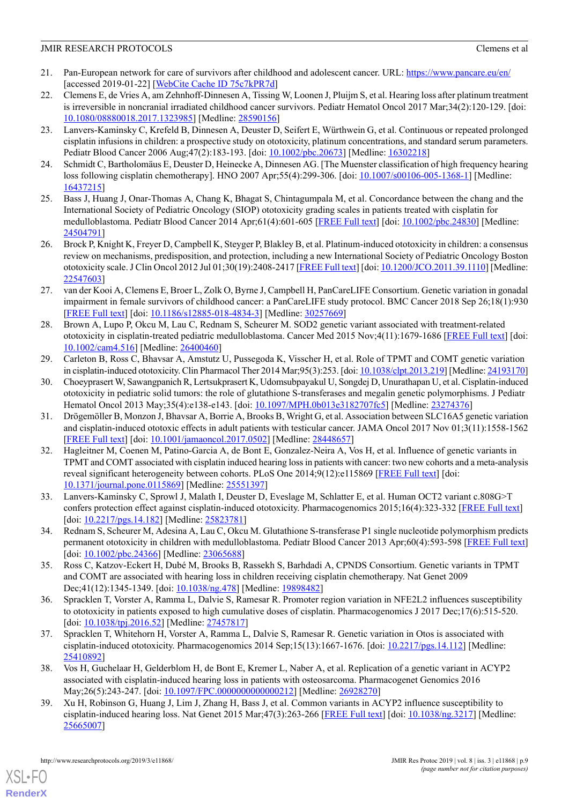- <span id="page-8-0"></span>21. Pan-European network for care of survivors after childhood and adolescent cancer. URL:<https://www.pancare.eu/en/> [accessed 2019-01-22] [\[WebCite Cache ID 75c7kPR7d](http://www.webcitation.org/75c7kPR7d)]
- <span id="page-8-1"></span>22. Clemens E, de Vries A, am Zehnhoff-Dinnesen A, Tissing W, Loonen J, Pluijm S, et al. Hearing loss after platinum treatment is irreversible in noncranial irradiated childhood cancer survivors. Pediatr Hematol Oncol 2017 Mar;34(2):120-129. [doi: [10.1080/08880018.2017.1323985\]](http://dx.doi.org/10.1080/08880018.2017.1323985) [Medline: [28590156\]](http://www.ncbi.nlm.nih.gov/entrez/query.fcgi?cmd=Retrieve&db=PubMed&list_uids=28590156&dopt=Abstract)
- <span id="page-8-2"></span>23. Lanvers-Kaminsky C, Krefeld B, Dinnesen A, Deuster D, Seifert E, Würthwein G, et al. Continuous or repeated prolonged cisplatin infusions in children: a prospective study on ototoxicity, platinum concentrations, and standard serum parameters. Pediatr Blood Cancer 2006 Aug; 47(2):183-193. [doi: [10.1002/pbc.20673\]](http://dx.doi.org/10.1002/pbc.20673) [Medline: [16302218\]](http://www.ncbi.nlm.nih.gov/entrez/query.fcgi?cmd=Retrieve&db=PubMed&list_uids=16302218&dopt=Abstract)
- <span id="page-8-4"></span><span id="page-8-3"></span>24. Schmidt C, Bartholomäus E, Deuster D, Heinecke A, Dinnesen AG. [The Muenster classification of high frequency hearing loss following cisplatin chemotherapy]. HNO 2007 Apr;55(4):299-306. [doi: [10.1007/s00106-005-1368-1](http://dx.doi.org/10.1007/s00106-005-1368-1)] [Medline: [16437215](http://www.ncbi.nlm.nih.gov/entrez/query.fcgi?cmd=Retrieve&db=PubMed&list_uids=16437215&dopt=Abstract)]
- <span id="page-8-5"></span>25. Bass J, Huang J, Onar-Thomas A, Chang K, Bhagat S, Chintagumpala M, et al. Concordance between the chang and the International Society of Pediatric Oncology (SIOP) ototoxicity grading scales in patients treated with cisplatin for medulloblastoma. Pediatr Blood Cancer 2014 Apr;61(4):601-605 [\[FREE Full text\]](http://europepmc.org/abstract/MED/24504791) [doi: [10.1002/pbc.24830](http://dx.doi.org/10.1002/pbc.24830)] [Medline: [24504791](http://www.ncbi.nlm.nih.gov/entrez/query.fcgi?cmd=Retrieve&db=PubMed&list_uids=24504791&dopt=Abstract)]
- <span id="page-8-6"></span>26. Brock P, Knight K, Freyer D, Campbell K, Steyger P, Blakley B, et al. Platinum-induced ototoxicity in children: a consensus review on mechanisms, predisposition, and protection, including a new International Society of Pediatric Oncology Boston ototoxicity scale. J Clin Oncol 2012 Jul 01;30(19):2408-2417 [\[FREE Full text\]](http://europepmc.org/abstract/MED/22547603) [doi: [10.1200/JCO.2011.39.1110](http://dx.doi.org/10.1200/JCO.2011.39.1110)] [Medline: [22547603](http://www.ncbi.nlm.nih.gov/entrez/query.fcgi?cmd=Retrieve&db=PubMed&list_uids=22547603&dopt=Abstract)]
- <span id="page-8-7"></span>27. van der Kooi A, Clemens E, Broer L, Zolk O, Byrne J, Campbell H, PanCareLIFE Consortium. Genetic variation in gonadal impairment in female survivors of childhood cancer: a PanCareLIFE study protocol. BMC Cancer 2018 Sep 26;18(1):930 [[FREE Full text](https://bmccancer.biomedcentral.com/articles/10.1186/s12885-018-4834-3)] [doi: [10.1186/s12885-018-4834-3](http://dx.doi.org/10.1186/s12885-018-4834-3)] [Medline: [30257669](http://www.ncbi.nlm.nih.gov/entrez/query.fcgi?cmd=Retrieve&db=PubMed&list_uids=30257669&dopt=Abstract)]
- <span id="page-8-12"></span>28. Brown A, Lupo P, Okcu M, Lau C, Rednam S, Scheurer M. SOD2 genetic variant associated with treatment-related ototoxicity in cisplatin-treated pediatric medulloblastoma. Cancer Med 2015 Nov;4(11):1679-1686 [[FREE Full text](https://doi.org/10.1002/cam4.516)] [doi: [10.1002/cam4.516\]](http://dx.doi.org/10.1002/cam4.516) [Medline: [26400460\]](http://www.ncbi.nlm.nih.gov/entrez/query.fcgi?cmd=Retrieve&db=PubMed&list_uids=26400460&dopt=Abstract)
- <span id="page-8-8"></span>29. Carleton B, Ross C, Bhavsar A, Amstutz U, Pussegoda K, Visscher H, et al. Role of TPMT and COMT genetic variation in cisplatin-induced ototoxicity. Clin Pharmacol Ther 2014 Mar;95(3):253. [doi: [10.1038/clpt.2013.219\]](http://dx.doi.org/10.1038/clpt.2013.219) [Medline: [24193170](http://www.ncbi.nlm.nih.gov/entrez/query.fcgi?cmd=Retrieve&db=PubMed&list_uids=24193170&dopt=Abstract)]
- 30. Choeyprasert W, Sawangpanich R, Lertsukprasert K, Udomsubpayakul U, Songdej D, Unurathapan U, et al. Cisplatin-induced ototoxicity in pediatric solid tumors: the role of glutathione S-transferases and megalin genetic polymorphisms. J Pediatr Hematol Oncol 2013 May;35(4):e138-e143. [doi: [10.1097/MPH.0b013e3182707fc5\]](http://dx.doi.org/10.1097/MPH.0b013e3182707fc5) [Medline: [23274376](http://www.ncbi.nlm.nih.gov/entrez/query.fcgi?cmd=Retrieve&db=PubMed&list_uids=23274376&dopt=Abstract)]
- <span id="page-8-9"></span>31. Drögemöller B, Monzon J, Bhavsar A, Borrie A, Brooks B, Wright G, et al. Association between SLC16A5 genetic variation and cisplatin-induced ototoxic effects in adult patients with testicular cancer. JAMA Oncol 2017 Nov 01;3(11):1558-1562 [[FREE Full text](http://europepmc.org/abstract/MED/28448657)] [doi: [10.1001/jamaoncol.2017.0502](http://dx.doi.org/10.1001/jamaoncol.2017.0502)] [Medline: [28448657](http://www.ncbi.nlm.nih.gov/entrez/query.fcgi?cmd=Retrieve&db=PubMed&list_uids=28448657&dopt=Abstract)]
- 32. Hagleitner M, Coenen M, Patino-Garcia A, de Bont E, Gonzalez-Neira A, Vos H, et al. Influence of genetic variants in TPMT and COMT associated with cisplatin induced hearing loss in patients with cancer: two new cohorts and a meta-analysis reveal significant heterogeneity between cohorts. PLoS One 2014;9(12):e115869 [\[FREE Full text\]](http://dx.plos.org/10.1371/journal.pone.0115869) [doi: [10.1371/journal.pone.0115869](http://dx.doi.org/10.1371/journal.pone.0115869)] [Medline: [25551397\]](http://www.ncbi.nlm.nih.gov/entrez/query.fcgi?cmd=Retrieve&db=PubMed&list_uids=25551397&dopt=Abstract)
- <span id="page-8-10"></span>33. Lanvers-Kaminsky C, Sprowl J, Malath I, Deuster D, Eveslage M, Schlatter E, et al. Human OCT2 variant c.808G>T confers protection effect against cisplatin-induced ototoxicity. Pharmacogenomics 2015;16(4):323-332 [\[FREE Full text\]](http://europepmc.org/abstract/MED/25823781) [doi: [10.2217/pgs.14.182](http://dx.doi.org/10.2217/pgs.14.182)] [Medline: [25823781\]](http://www.ncbi.nlm.nih.gov/entrez/query.fcgi?cmd=Retrieve&db=PubMed&list_uids=25823781&dopt=Abstract)
- 34. Rednam S, Scheurer M, Adesina A, Lau C, Okcu M. Glutathione S-transferase P1 single nucleotide polymorphism predicts permanent ototoxicity in children with medulloblastoma. Pediatr Blood Cancer 2013 Apr;60(4):593-598 [\[FREE Full text](http://europepmc.org/abstract/MED/23065688)] [doi: [10.1002/pbc.24366](http://dx.doi.org/10.1002/pbc.24366)] [Medline: [23065688\]](http://www.ncbi.nlm.nih.gov/entrez/query.fcgi?cmd=Retrieve&db=PubMed&list_uids=23065688&dopt=Abstract)
- 35. Ross C, Katzov-Eckert H, Dubé M, Brooks B, Rassekh S, Barhdadi A, CPNDS Consortium. Genetic variants in TPMT and COMT are associated with hearing loss in children receiving cisplatin chemotherapy. Nat Genet 2009 Dec;41(12):1345-1349. [doi: [10.1038/ng.478](http://dx.doi.org/10.1038/ng.478)] [Medline: [19898482\]](http://www.ncbi.nlm.nih.gov/entrez/query.fcgi?cmd=Retrieve&db=PubMed&list_uids=19898482&dopt=Abstract)
- <span id="page-8-11"></span>36. Spracklen T, Vorster A, Ramma L, Dalvie S, Ramesar R. Promoter region variation in NFE2L2 influences susceptibility to ototoxicity in patients exposed to high cumulative doses of cisplatin. Pharmacogenomics J 2017 Dec;17(6):515-520. [doi: [10.1038/tpj.2016.52\]](http://dx.doi.org/10.1038/tpj.2016.52) [Medline: [27457817](http://www.ncbi.nlm.nih.gov/entrez/query.fcgi?cmd=Retrieve&db=PubMed&list_uids=27457817&dopt=Abstract)]
- 37. Spracklen T, Whitehorn H, Vorster A, Ramma L, Dalvie S, Ramesar R. Genetic variation in Otos is associated with cisplatin-induced ototoxicity. Pharmacogenomics 2014 Sep;15(13):1667-1676. [doi: [10.2217/pgs.14.112](http://dx.doi.org/10.2217/pgs.14.112)] [Medline: [25410892](http://www.ncbi.nlm.nih.gov/entrez/query.fcgi?cmd=Retrieve&db=PubMed&list_uids=25410892&dopt=Abstract)]
- 38. Vos H, Guchelaar H, Gelderblom H, de Bont E, Kremer L, Naber A, et al. Replication of a genetic variant in ACYP2 associated with cisplatin-induced hearing loss in patients with osteosarcoma. Pharmacogenet Genomics 2016 May;26(5):243-247. [doi: 10.1097/FPC.000000000000212] [Medline: [26928270](http://www.ncbi.nlm.nih.gov/entrez/query.fcgi?cmd=Retrieve&db=PubMed&list_uids=26928270&dopt=Abstract)]
- 39. Xu H, Robinson G, Huang J, Lim J, Zhang H, Bass J, et al. Common variants in ACYP2 influence susceptibility to cisplatin-induced hearing loss. Nat Genet 2015 Mar;47(3):263-266 [[FREE Full text](http://europepmc.org/abstract/MED/25665007)] [doi: [10.1038/ng.3217](http://dx.doi.org/10.1038/ng.3217)] [Medline: [25665007](http://www.ncbi.nlm.nih.gov/entrez/query.fcgi?cmd=Retrieve&db=PubMed&list_uids=25665007&dopt=Abstract)]

[XSL](http://www.w3.org/Style/XSL)•FO **[RenderX](http://www.renderx.com/)**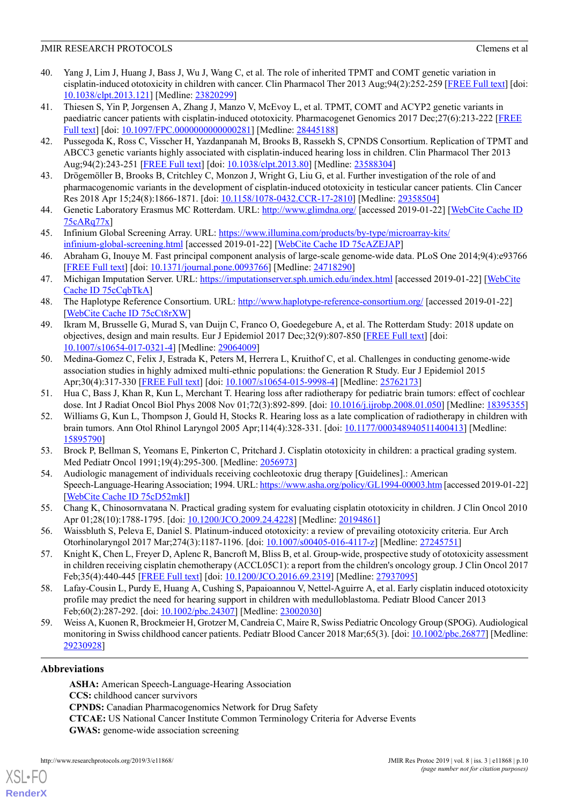- <span id="page-9-0"></span>40. Yang J, Lim J, Huang J, Bass J, Wu J, Wang C, et al. The role of inherited TPMT and COMT genetic variation in cisplatin-induced ototoxicity in children with cancer. Clin Pharmacol Ther 2013 Aug;94(2):252-259 [[FREE Full text](http://europepmc.org/abstract/MED/23820299)] [doi: [10.1038/clpt.2013.121\]](http://dx.doi.org/10.1038/clpt.2013.121) [Medline: [23820299](http://www.ncbi.nlm.nih.gov/entrez/query.fcgi?cmd=Retrieve&db=PubMed&list_uids=23820299&dopt=Abstract)]
- 41. Thiesen S, Yin P, Jorgensen A, Zhang J, Manzo V, McEvoy L, et al. TPMT, COMT and ACYP2 genetic variants in paediatric cancer patients with cisplatin-induced ototoxicity. Pharmacogenet Genomics 2017 Dec;27(6):213-222 [[FREE](http://europepmc.org/abstract/MED/28445188) [Full text](http://europepmc.org/abstract/MED/28445188)] [doi: [10.1097/FPC.0000000000000281\]](http://dx.doi.org/10.1097/FPC.0000000000000281) [Medline: [28445188\]](http://www.ncbi.nlm.nih.gov/entrez/query.fcgi?cmd=Retrieve&db=PubMed&list_uids=28445188&dopt=Abstract)
- 42. Pussegoda K, Ross C, Visscher H, Yazdanpanah M, Brooks B, Rassekh S, CPNDS Consortium. Replication of TPMT and ABCC3 genetic variants highly associated with cisplatin-induced hearing loss in children. Clin Pharmacol Ther 2013 Aug;94(2):243-251 [\[FREE Full text\]](http://europepmc.org/abstract/MED/23588304) [doi: [10.1038/clpt.2013.80](http://dx.doi.org/10.1038/clpt.2013.80)] [Medline: [23588304\]](http://www.ncbi.nlm.nih.gov/entrez/query.fcgi?cmd=Retrieve&db=PubMed&list_uids=23588304&dopt=Abstract)
- <span id="page-9-2"></span><span id="page-9-1"></span>43. Drögemöller B, Brooks B, Critchley C, Monzon J, Wright G, Liu G, et al. Further investigation of the role of and pharmacogenomic variants in the development of cisplatin-induced ototoxicity in testicular cancer patients. Clin Cancer Res 2018 Apr 15;24(8):1866-1871. [doi: [10.1158/1078-0432.CCR-17-2810\]](http://dx.doi.org/10.1158/1078-0432.CCR-17-2810) [Medline: [29358504](http://www.ncbi.nlm.nih.gov/entrez/query.fcgi?cmd=Retrieve&db=PubMed&list_uids=29358504&dopt=Abstract)]
- <span id="page-9-3"></span>44. Genetic Laboratory Erasmus MC Rotterdam. URL:<http://www.glimdna.org/> [accessed 2019-01-22] [[WebCite Cache ID](http://www.webcitation.org/75cARq77x) [75cARq77x\]](http://www.webcitation.org/75cARq77x)
- <span id="page-9-4"></span>45. Infinium Global Screening Array. URL: [https://www.illumina.com/products/by-type/microarray-kits/](https://www.illumina.com/products/by-type/microarray-kits/infinium-global-screening.html) [infinium-global-screening.html](https://www.illumina.com/products/by-type/microarray-kits/infinium-global-screening.html) [accessed 2019-01-22] [[WebCite Cache ID 75cAZEJAP\]](http://www.webcitation.org/75cAZEJAP)
- <span id="page-9-5"></span>46. Abraham G, Inouye M. Fast principal component analysis of large-scale genome-wide data. PLoS One 2014;9(4):e93766 [[FREE Full text](http://dx.plos.org/10.1371/journal.pone.0093766)] [doi: [10.1371/journal.pone.0093766](http://dx.doi.org/10.1371/journal.pone.0093766)] [Medline: [24718290](http://www.ncbi.nlm.nih.gov/entrez/query.fcgi?cmd=Retrieve&db=PubMed&list_uids=24718290&dopt=Abstract)]
- <span id="page-9-6"></span>47. Michigan Imputation Server. URL:<https://imputationserver.sph.umich.edu/index.html> [accessed 2019-01-22] [[WebCite](http://www.webcitation.org/75cCqbTkA) [Cache ID 75cCqbTkA](http://www.webcitation.org/75cCqbTkA)]
- <span id="page-9-7"></span>48. The Haplotype Reference Consortium. URL:<http://www.haplotype-reference-consortium.org/> [accessed 2019-01-22] [[WebCite Cache ID 75cCt8rXW](http://www.webcitation.org/75cCt8rXW)]
- <span id="page-9-8"></span>49. Ikram M, Brusselle G, Murad S, van Duijn C, Franco O, Goedegebure A, et al. The Rotterdam Study: 2018 update on objectives, design and main results. Eur J Epidemiol 2017 Dec;32(9):807-850 [[FREE Full text\]](http://europepmc.org/abstract/MED/29064009) [doi: [10.1007/s10654-017-0321-4\]](http://dx.doi.org/10.1007/s10654-017-0321-4) [Medline: [29064009](http://www.ncbi.nlm.nih.gov/entrez/query.fcgi?cmd=Retrieve&db=PubMed&list_uids=29064009&dopt=Abstract)]
- <span id="page-9-10"></span><span id="page-9-9"></span>50. Medina-Gomez C, Felix J, Estrada K, Peters M, Herrera L, Kruithof C, et al. Challenges in conducting genome-wide association studies in highly admixed multi-ethnic populations: the Generation R Study. Eur J Epidemiol 2015 Apr;30(4):317-330 [\[FREE Full text\]](http://europepmc.org/abstract/MED/25762173) [doi: [10.1007/s10654-015-9998-4](http://dx.doi.org/10.1007/s10654-015-9998-4)] [Medline: [25762173\]](http://www.ncbi.nlm.nih.gov/entrez/query.fcgi?cmd=Retrieve&db=PubMed&list_uids=25762173&dopt=Abstract)
- 51. Hua C, Bass J, Khan R, Kun L, Merchant T. Hearing loss after radiotherapy for pediatric brain tumors: effect of cochlear dose. Int J Radiat Oncol Biol Phys 2008 Nov 01;72(3):892-899. [doi: [10.1016/j.ijrobp.2008.01.050\]](http://dx.doi.org/10.1016/j.ijrobp.2008.01.050) [Medline: [18395355](http://www.ncbi.nlm.nih.gov/entrez/query.fcgi?cmd=Retrieve&db=PubMed&list_uids=18395355&dopt=Abstract)]
- <span id="page-9-12"></span><span id="page-9-11"></span>52. Williams G, Kun L, Thompson J, Gould H, Stocks R. Hearing loss as a late complication of radiotherapy in children with brain tumors. Ann Otol Rhinol Laryngol 2005 Apr;114(4):328-331. [doi: [10.1177/000348940511400413](http://dx.doi.org/10.1177/000348940511400413)] [Medline: [15895790](http://www.ncbi.nlm.nih.gov/entrez/query.fcgi?cmd=Retrieve&db=PubMed&list_uids=15895790&dopt=Abstract)]
- <span id="page-9-13"></span>53. Brock P, Bellman S, Yeomans E, Pinkerton C, Pritchard J. Cisplatin ototoxicity in children: a practical grading system. Med Pediatr Oncol 1991;19(4):295-300. [Medline: [2056973\]](http://www.ncbi.nlm.nih.gov/entrez/query.fcgi?cmd=Retrieve&db=PubMed&list_uids=2056973&dopt=Abstract)
- <span id="page-9-14"></span>54. Audiologic management of individuals receiving cochleotoxic drug therapy [Guidelines].: American Speech-Language-Hearing Association; 1994. URL:<https://www.asha.org/policy/GL1994-00003.htm> [accessed 2019-01-22] [[WebCite Cache ID 75cD52mkI](http://www.webcitation.org/75cD52mkI)]
- <span id="page-9-15"></span>55. Chang K, Chinosornvatana N. Practical grading system for evaluating cisplatin ototoxicity in children. J Clin Oncol 2010 Apr 01;28(10):1788-1795. [doi: [10.1200/JCO.2009.24.4228](http://dx.doi.org/10.1200/JCO.2009.24.4228)] [Medline: [20194861\]](http://www.ncbi.nlm.nih.gov/entrez/query.fcgi?cmd=Retrieve&db=PubMed&list_uids=20194861&dopt=Abstract)
- <span id="page-9-16"></span>56. Waissbluth S, Peleva E, Daniel S. Platinum-induced ototoxicity: a review of prevailing ototoxicity criteria. Eur Arch Otorhinolaryngol 2017 Mar;274(3):1187-1196. [doi: [10.1007/s00405-016-4117-z\]](http://dx.doi.org/10.1007/s00405-016-4117-z) [Medline: [27245751\]](http://www.ncbi.nlm.nih.gov/entrez/query.fcgi?cmd=Retrieve&db=PubMed&list_uids=27245751&dopt=Abstract)
- <span id="page-9-17"></span>57. Knight K, Chen L, Freyer D, Aplenc R, Bancroft M, Bliss B, et al. Group-wide, prospective study of ototoxicity assessment in children receiving cisplatin chemotherapy (ACCL05C1): a report from the children's oncology group. J Clin Oncol 2017 Feb;35(4):440-445 [[FREE Full text](http://europepmc.org/abstract/MED/27937095)] [doi: [10.1200/JCO.2016.69.2319](http://dx.doi.org/10.1200/JCO.2016.69.2319)] [Medline: [27937095\]](http://www.ncbi.nlm.nih.gov/entrez/query.fcgi?cmd=Retrieve&db=PubMed&list_uids=27937095&dopt=Abstract)
- 58. Lafay-Cousin L, Purdy E, Huang A, Cushing S, Papaioannou V, Nettel-Aguirre A, et al. Early cisplatin induced ototoxicity profile may predict the need for hearing support in children with medulloblastoma. Pediatr Blood Cancer 2013 Feb;60(2):287-292. [doi: [10.1002/pbc.24307\]](http://dx.doi.org/10.1002/pbc.24307) [Medline: [23002030](http://www.ncbi.nlm.nih.gov/entrez/query.fcgi?cmd=Retrieve&db=PubMed&list_uids=23002030&dopt=Abstract)]
- 59. Weiss A, Kuonen R, Brockmeier H, Grotzer M, Candreia C, Maire R, Swiss Pediatric Oncology Group (SPOG). Audiological monitoring in Swiss childhood cancer patients. Pediatr Blood Cancer 2018 Mar;65(3). [doi: [10.1002/pbc.26877\]](http://dx.doi.org/10.1002/pbc.26877) [Medline: [29230928](http://www.ncbi.nlm.nih.gov/entrez/query.fcgi?cmd=Retrieve&db=PubMed&list_uids=29230928&dopt=Abstract)]

### **Abbreviations**

[XSL](http://www.w3.org/Style/XSL)•FO **[RenderX](http://www.renderx.com/)**

**ASHA:** American Speech-Language-Hearing Association **CCS:** childhood cancer survivors **CPNDS:** Canadian Pharmacogenomics Network for Drug Safety **CTCAE:** US National Cancer Institute Common Terminology Criteria for Adverse Events **GWAS:** genome-wide association screening